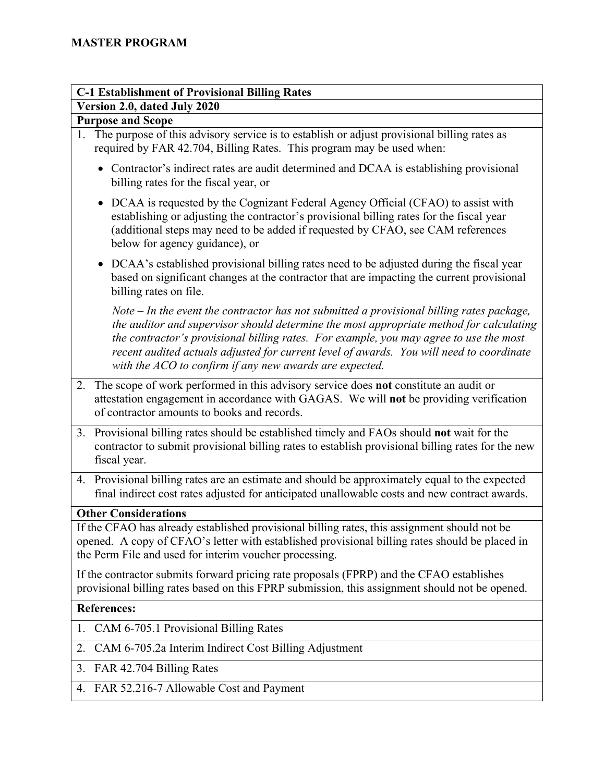## **C-1 Establishment of Provisional Billing Rates Version 2.0, dated July 2020**

## **Purpose and Scope**

- 1. The purpose of this advisory service is to establish or adjust provisional billing rates as required by FAR 42.704, Billing Rates. This program may be used when:
	- Contractor's indirect rates are audit determined and DCAA is establishing provisional billing rates for the fiscal year, or
	- DCAA is requested by the Cognizant Federal Agency Official (CFAO) to assist with establishing or adjusting the contractor's provisional billing rates for the fiscal year (additional steps may need to be added if requested by CFAO, see CAM references below for agency guidance), or
	- DCAA's established provisional billing rates need to be adjusted during the fiscal year based on significant changes at the contractor that are impacting the current provisional billing rates on file.

*Note – In the event the contractor has not submitted a provisional billing rates package, the auditor and supervisor should determine the most appropriate method for calculating the contractor's provisional billing rates. For example, you may agree to use the most recent audited actuals adjusted for current level of awards. You will need to coordinate with the ACO to confirm if any new awards are expected.*

- 2. The scope of work performed in this advisory service does **not** constitute an audit or attestation engagement in accordance with GAGAS. We will **not** be providing verification of contractor amounts to books and records.
- 3. Provisional billing rates should be established timely and FAOs should **not** wait for the contractor to submit provisional billing rates to establish provisional billing rates for the new fiscal year.
- 4. Provisional billing rates are an estimate and should be approximately equal to the expected final indirect cost rates adjusted for anticipated unallowable costs and new contract awards.

## **Other Considerations**

If the CFAO has already established provisional billing rates, this assignment should not be opened. A copy of CFAO's letter with established provisional billing rates should be placed in the Perm File and used for interim voucher processing.

If the contractor submits forward pricing rate proposals (FPRP) and the CFAO establishes provisional billing rates based on this FPRP submission, this assignment should not be opened.

## **References:**

- 1. CAM 6-705.1 Provisional Billing Rates
- 2. CAM 6-705.2a Interim Indirect Cost Billing Adjustment
- 3. FAR 42.704 Billing Rates
- 4. FAR 52.216-7 Allowable Cost and Payment